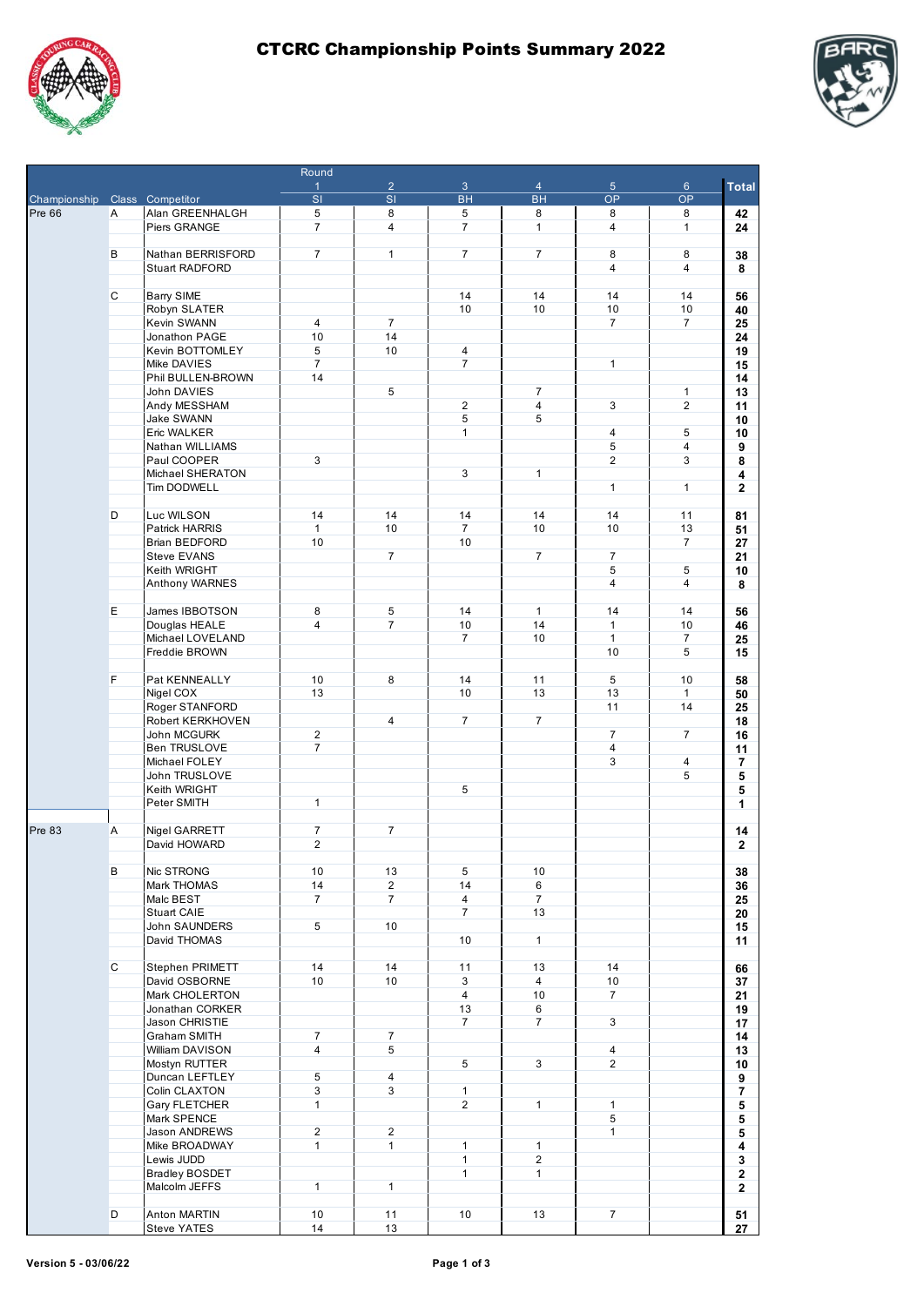

Round



|                               |    |                             | $\overline{1}$           | $\overline{2}$ | $\mathbf{3}$   | $\overline{4}$ | $\overline{5}$ | $6\phantom{.}6$                                                                                                                                                                                                                                                                                                                                                                                                                                                                                                                                                                                                                                                                      | <b>Total</b> |
|-------------------------------|----|-----------------------------|--------------------------|----------------|----------------|----------------|----------------|--------------------------------------------------------------------------------------------------------------------------------------------------------------------------------------------------------------------------------------------------------------------------------------------------------------------------------------------------------------------------------------------------------------------------------------------------------------------------------------------------------------------------------------------------------------------------------------------------------------------------------------------------------------------------------------|--------------|
| Championship Class Competitor |    |                             | $\overline{\mathsf{SI}}$ | SI             | <b>BH</b>      | <b>BH</b>      | <b>OP</b>      |                                                                                                                                                                                                                                                                                                                                                                                                                                                                                                                                                                                                                                                                                      |              |
| Pre 66                        | Α  | Alan GREENHALGH             | 5                        | 8              | 5              | 8              | 8              |                                                                                                                                                                                                                                                                                                                                                                                                                                                                                                                                                                                                                                                                                      | 42           |
|                               |    | Piers GRANGE                | $\overline{7}$           | $\overline{4}$ | $\overline{7}$ | $\mathbf{1}$   | $\overline{4}$ | OP<br>8<br>$\mathbf{1}$<br>24<br>8<br>38<br>$\overline{4}$<br>8<br>14<br>56<br>10<br>40<br>$\overline{7}$<br>25<br>24<br>19<br>15<br>14<br>$\mathbf{1}$<br>13<br>$\overline{2}$<br>11<br>10<br>5<br>10<br>$\overline{4}$<br>9<br>3<br>8<br>4<br>$\mathbf{1}$<br>2<br>11<br>81<br>13<br>51<br>$\overline{7}$<br>27<br>21<br>5<br>10<br>$\overline{4}$<br>8<br>14<br>56<br>10<br>46<br>$\overline{7}$<br>25<br>5<br>15<br>10<br>58<br>$\mathbf{1}$<br>50<br>14<br>25<br>18<br>$\overline{7}$<br>16<br>11<br>$\overline{4}$<br>7<br>5<br>5<br>5<br>1<br>14<br>$\mathbf{2}$<br>38<br>36<br>25<br>20<br>15<br>11<br>66<br>37<br>21<br>19<br>17<br>14<br>13<br>10<br>9<br>7<br>5<br>5<br>5 |              |
|                               |    |                             |                          |                |                |                |                |                                                                                                                                                                                                                                                                                                                                                                                                                                                                                                                                                                                                                                                                                      |              |
|                               | В  | Nathan BERRISFORD           | $\overline{7}$           | $\mathbf{1}$   | $\overline{7}$ | $\overline{7}$ | 8              |                                                                                                                                                                                                                                                                                                                                                                                                                                                                                                                                                                                                                                                                                      |              |
|                               |    | Stuart RADFORD              |                          |                |                |                | $\overline{4}$ |                                                                                                                                                                                                                                                                                                                                                                                                                                                                                                                                                                                                                                                                                      |              |
|                               |    |                             |                          |                |                |                |                |                                                                                                                                                                                                                                                                                                                                                                                                                                                                                                                                                                                                                                                                                      |              |
|                               | С  | <b>Barry SIME</b>           |                          |                | 14             | 14             | 14             |                                                                                                                                                                                                                                                                                                                                                                                                                                                                                                                                                                                                                                                                                      |              |
|                               |    | Robyn SLATER                |                          |                | 10             | 10             | 10             |                                                                                                                                                                                                                                                                                                                                                                                                                                                                                                                                                                                                                                                                                      |              |
|                               |    | Kevin SWANN                 | $\overline{4}$           | $\overline{7}$ |                |                | 7              |                                                                                                                                                                                                                                                                                                                                                                                                                                                                                                                                                                                                                                                                                      |              |
|                               |    | Jonathon PAGE               | 10                       | 14             |                |                |                |                                                                                                                                                                                                                                                                                                                                                                                                                                                                                                                                                                                                                                                                                      |              |
|                               |    | Kevin BOTTOMLEY             | 5                        | 10             | 4              |                |                |                                                                                                                                                                                                                                                                                                                                                                                                                                                                                                                                                                                                                                                                                      |              |
|                               |    | Mike DAVIES                 | $\overline{7}$           |                | $\overline{7}$ |                | $\mathbf{1}$   |                                                                                                                                                                                                                                                                                                                                                                                                                                                                                                                                                                                                                                                                                      |              |
|                               |    | Phil BULLEN-BROWN           | 14                       | 5              |                | $\overline{7}$ |                |                                                                                                                                                                                                                                                                                                                                                                                                                                                                                                                                                                                                                                                                                      |              |
|                               |    | John DAVIES<br>Andy MESSHAM |                          |                | $\overline{2}$ | $\overline{4}$ | 3              |                                                                                                                                                                                                                                                                                                                                                                                                                                                                                                                                                                                                                                                                                      |              |
|                               |    | Jake SWANN                  |                          |                | 5              | 5              |                |                                                                                                                                                                                                                                                                                                                                                                                                                                                                                                                                                                                                                                                                                      |              |
|                               |    | Eric WALKER                 |                          |                | 1              |                | 4              |                                                                                                                                                                                                                                                                                                                                                                                                                                                                                                                                                                                                                                                                                      |              |
|                               |    | Nathan WILLIAMS             |                          |                |                |                | 5              |                                                                                                                                                                                                                                                                                                                                                                                                                                                                                                                                                                                                                                                                                      |              |
|                               |    | Paul COOPER                 | 3                        |                |                |                | $\overline{2}$ |                                                                                                                                                                                                                                                                                                                                                                                                                                                                                                                                                                                                                                                                                      |              |
|                               |    | Michael SHERATON            |                          |                | 3              | 1              |                |                                                                                                                                                                                                                                                                                                                                                                                                                                                                                                                                                                                                                                                                                      |              |
|                               |    | Tim DODWELL                 |                          |                |                |                | $\mathbf{1}$   |                                                                                                                                                                                                                                                                                                                                                                                                                                                                                                                                                                                                                                                                                      |              |
|                               |    |                             |                          |                |                |                |                |                                                                                                                                                                                                                                                                                                                                                                                                                                                                                                                                                                                                                                                                                      |              |
|                               | D  | Luc WILSON                  | 14                       | 14             | 14             | 14             | 14             |                                                                                                                                                                                                                                                                                                                                                                                                                                                                                                                                                                                                                                                                                      |              |
|                               |    | Patrick HARRIS              | $\mathbf{1}$             | 10             | $\overline{7}$ | 10             | 10             |                                                                                                                                                                                                                                                                                                                                                                                                                                                                                                                                                                                                                                                                                      |              |
|                               |    | Brian BEDFORD               | 10                       |                | 10             |                |                |                                                                                                                                                                                                                                                                                                                                                                                                                                                                                                                                                                                                                                                                                      |              |
|                               |    | <b>Steve EVANS</b>          |                          | $\overline{7}$ |                | $\overline{7}$ | $\overline{7}$ |                                                                                                                                                                                                                                                                                                                                                                                                                                                                                                                                                                                                                                                                                      |              |
|                               |    | Keith WRIGHT                |                          |                |                |                | 5              |                                                                                                                                                                                                                                                                                                                                                                                                                                                                                                                                                                                                                                                                                      |              |
|                               |    | Anthony WARNES              |                          |                |                |                | 4              |                                                                                                                                                                                                                                                                                                                                                                                                                                                                                                                                                                                                                                                                                      |              |
|                               |    |                             |                          |                |                |                |                |                                                                                                                                                                                                                                                                                                                                                                                                                                                                                                                                                                                                                                                                                      |              |
|                               | E. | James IBBOTSON              | 8                        | 5              | 14             | $\mathbf{1}$   | 14             |                                                                                                                                                                                                                                                                                                                                                                                                                                                                                                                                                                                                                                                                                      |              |
|                               |    | Douglas HEALE               | $\overline{4}$           | $\overline{7}$ | 10             | 14             | $\mathbf{1}$   |                                                                                                                                                                                                                                                                                                                                                                                                                                                                                                                                                                                                                                                                                      |              |
|                               |    | Michael LOVELAND            |                          |                | $\overline{7}$ | 10             | $\mathbf{1}$   |                                                                                                                                                                                                                                                                                                                                                                                                                                                                                                                                                                                                                                                                                      |              |
|                               |    | Freddie BROWN               |                          |                |                |                | 10             |                                                                                                                                                                                                                                                                                                                                                                                                                                                                                                                                                                                                                                                                                      |              |
|                               |    |                             |                          |                |                |                |                |                                                                                                                                                                                                                                                                                                                                                                                                                                                                                                                                                                                                                                                                                      |              |
|                               | F. | Pat KENNEALLY               | 10                       | 8              | 14             | 11             | 5              |                                                                                                                                                                                                                                                                                                                                                                                                                                                                                                                                                                                                                                                                                      |              |
|                               |    | Nigel COX                   | 13                       |                | 10             | 13             | 13             |                                                                                                                                                                                                                                                                                                                                                                                                                                                                                                                                                                                                                                                                                      |              |
|                               |    | Roger STANFORD              |                          |                |                |                | 11             |                                                                                                                                                                                                                                                                                                                                                                                                                                                                                                                                                                                                                                                                                      |              |
|                               |    | Robert KERKHOVEN            |                          | 4              | $\overline{7}$ | $\overline{7}$ |                |                                                                                                                                                                                                                                                                                                                                                                                                                                                                                                                                                                                                                                                                                      |              |
|                               |    | John MCGURK                 | $\overline{2}$           |                |                |                | $\overline{7}$ |                                                                                                                                                                                                                                                                                                                                                                                                                                                                                                                                                                                                                                                                                      |              |
|                               |    | <b>Ben TRUSLOVE</b>         | $\overline{7}$           |                |                |                | 4              |                                                                                                                                                                                                                                                                                                                                                                                                                                                                                                                                                                                                                                                                                      |              |
|                               |    | Michael FOLEY               |                          |                |                |                | 3              |                                                                                                                                                                                                                                                                                                                                                                                                                                                                                                                                                                                                                                                                                      |              |
|                               |    | John TRUSLOVE               |                          |                |                |                |                |                                                                                                                                                                                                                                                                                                                                                                                                                                                                                                                                                                                                                                                                                      |              |
|                               |    | Keith WRIGHT                |                          |                | 5              |                |                |                                                                                                                                                                                                                                                                                                                                                                                                                                                                                                                                                                                                                                                                                      |              |
|                               |    | Peter SMITH                 | $\mathbf{1}$             |                |                |                |                |                                                                                                                                                                                                                                                                                                                                                                                                                                                                                                                                                                                                                                                                                      |              |
|                               |    |                             |                          |                |                |                |                |                                                                                                                                                                                                                                                                                                                                                                                                                                                                                                                                                                                                                                                                                      |              |
| Pre 83                        | Α  | Nigel GARRETT               | $\overline{7}$           | $\overline{7}$ |                |                |                |                                                                                                                                                                                                                                                                                                                                                                                                                                                                                                                                                                                                                                                                                      |              |
|                               |    | David HOWARD                | $\overline{2}$           |                |                |                |                |                                                                                                                                                                                                                                                                                                                                                                                                                                                                                                                                                                                                                                                                                      |              |
|                               |    |                             |                          |                |                |                |                |                                                                                                                                                                                                                                                                                                                                                                                                                                                                                                                                                                                                                                                                                      |              |
|                               | в  | Nic STRONG                  | 10                       | 13             | 5              | 10             |                |                                                                                                                                                                                                                                                                                                                                                                                                                                                                                                                                                                                                                                                                                      |              |
|                               |    | Mark THOMAS                 | 14                       | $\overline{2}$ | 14             | 6              |                |                                                                                                                                                                                                                                                                                                                                                                                                                                                                                                                                                                                                                                                                                      |              |
|                               |    | Malc BEST                   | $\overline{7}$           | $\overline{7}$ | $\overline{4}$ | $\overline{7}$ |                |                                                                                                                                                                                                                                                                                                                                                                                                                                                                                                                                                                                                                                                                                      |              |
|                               |    | Stuart CAIE                 |                          |                | $\overline{7}$ | 13             |                |                                                                                                                                                                                                                                                                                                                                                                                                                                                                                                                                                                                                                                                                                      |              |
|                               |    | John SAUNDERS               | 5                        | 10             |                |                |                |                                                                                                                                                                                                                                                                                                                                                                                                                                                                                                                                                                                                                                                                                      |              |
|                               |    | David THOMAS                |                          |                | 10             | $\mathbf{1}$   |                |                                                                                                                                                                                                                                                                                                                                                                                                                                                                                                                                                                                                                                                                                      |              |
|                               |    |                             |                          |                |                |                |                |                                                                                                                                                                                                                                                                                                                                                                                                                                                                                                                                                                                                                                                                                      |              |
|                               | C  | Stephen PRIMETT             | 14                       | 14             | 11             | 13             | 14             |                                                                                                                                                                                                                                                                                                                                                                                                                                                                                                                                                                                                                                                                                      |              |
|                               |    | David OSBORNE               | 10                       | 10             | 3              | 4              | 10             |                                                                                                                                                                                                                                                                                                                                                                                                                                                                                                                                                                                                                                                                                      |              |
|                               |    | Mark CHOLERTON              |                          |                | $\overline{4}$ | 10             | $\overline{7}$ |                                                                                                                                                                                                                                                                                                                                                                                                                                                                                                                                                                                                                                                                                      |              |
|                               |    | Jonathan CORKER             |                          |                | 13             | 6              |                |                                                                                                                                                                                                                                                                                                                                                                                                                                                                                                                                                                                                                                                                                      |              |
|                               |    | Jason CHRISTIE              |                          |                | $\overline{7}$ | $\overline{7}$ | 3              |                                                                                                                                                                                                                                                                                                                                                                                                                                                                                                                                                                                                                                                                                      |              |
|                               |    | Graham SMITH                | $\overline{7}$           | $\overline{7}$ |                |                |                |                                                                                                                                                                                                                                                                                                                                                                                                                                                                                                                                                                                                                                                                                      |              |
|                               |    | William DAVISON             | $\overline{4}$           | 5              |                |                | $\overline{4}$ |                                                                                                                                                                                                                                                                                                                                                                                                                                                                                                                                                                                                                                                                                      |              |
|                               |    | Mostyn RUTTER               |                          |                | 5              | 3              | $\overline{2}$ |                                                                                                                                                                                                                                                                                                                                                                                                                                                                                                                                                                                                                                                                                      |              |
|                               |    | Duncan LEFTLEY              | 5                        | $\overline{4}$ |                |                |                |                                                                                                                                                                                                                                                                                                                                                                                                                                                                                                                                                                                                                                                                                      |              |
|                               |    | Colin CLAXTON               | 3                        | 3              | $\mathbf{1}$   |                |                |                                                                                                                                                                                                                                                                                                                                                                                                                                                                                                                                                                                                                                                                                      |              |
|                               |    | Gary FLETCHER               | $\mathbf{1}$             |                | $\overline{2}$ | $\mathbf{1}$   | $\mathbf{1}$   |                                                                                                                                                                                                                                                                                                                                                                                                                                                                                                                                                                                                                                                                                      |              |
|                               |    | Mark SPENCE                 |                          |                |                |                | 5              |                                                                                                                                                                                                                                                                                                                                                                                                                                                                                                                                                                                                                                                                                      |              |
|                               |    | Jason ANDREWS               | $\overline{2}$           | $\overline{2}$ |                |                | $\mathbf{1}$   |                                                                                                                                                                                                                                                                                                                                                                                                                                                                                                                                                                                                                                                                                      |              |
|                               |    | Mike BROADWAY               | $\mathbf{1}$             | $\mathbf{1}$   | $\mathbf{1}$   | $\mathbf{1}$   |                |                                                                                                                                                                                                                                                                                                                                                                                                                                                                                                                                                                                                                                                                                      | 4            |
|                               |    | Lewis JUDD                  |                          |                | $\mathbf{1}$   | $\overline{2}$ |                |                                                                                                                                                                                                                                                                                                                                                                                                                                                                                                                                                                                                                                                                                      | 3            |
|                               |    | <b>Bradley BOSDET</b>       |                          |                | $\mathbf{1}$   | $\mathbf{1}$   |                |                                                                                                                                                                                                                                                                                                                                                                                                                                                                                                                                                                                                                                                                                      | $\mathbf{2}$ |
|                               |    | Malcolm JEFFS               | $\mathbf{1}$             | $\mathbf{1}$   |                |                |                |                                                                                                                                                                                                                                                                                                                                                                                                                                                                                                                                                                                                                                                                                      | $\mathbf{2}$ |
|                               |    |                             |                          |                |                |                |                |                                                                                                                                                                                                                                                                                                                                                                                                                                                                                                                                                                                                                                                                                      |              |
|                               | D  | Anton MARTIN                | 10                       | 11             | 10             | 13             | $7^{\circ}$    |                                                                                                                                                                                                                                                                                                                                                                                                                                                                                                                                                                                                                                                                                      | 51           |

Steve YATES 14 13 **27**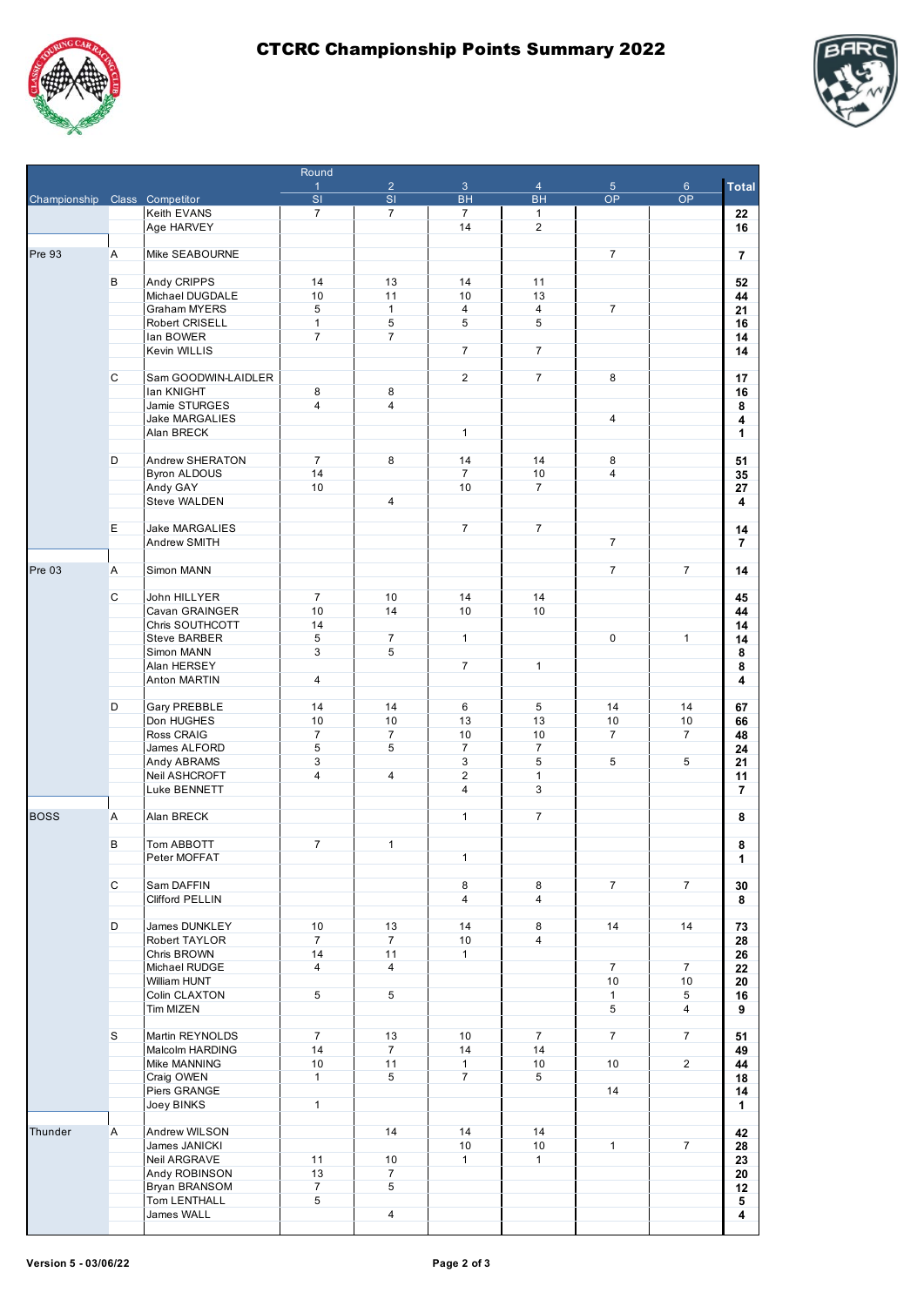

Round



|                               |    |                      | $\mathbf{1}$             | $\overline{2}$ | $\mathbf{3}$   | $\overline{4}$ | 5 <sub>5</sub> | $6\phantom{.}6$ | <b>Total</b>   |
|-------------------------------|----|----------------------|--------------------------|----------------|----------------|----------------|----------------|-----------------|----------------|
| Championship Class Competitor |    |                      | $\overline{\mathsf{SI}}$ | SI             | <b>BH</b>      | <b>BH</b>      | <b>OP</b>      | <b>OP</b>       |                |
|                               |    | <b>Keith EVANS</b>   | $\overline{7}$           | $\overline{7}$ | $\overline{7}$ | $\mathbf{1}$   |                |                 | 22             |
|                               |    | Age HARVEY           |                          |                | 14             | $\overline{2}$ |                |                 | 16             |
|                               |    |                      |                          |                |                |                |                |                 |                |
| Pre 93                        | Α  | Mike SEABOURNE       |                          |                |                |                | $\overline{7}$ |                 | $\overline{7}$ |
|                               |    |                      |                          |                |                |                |                |                 |                |
|                               | В  | Andy CRIPPS          | 14                       | 13             | 14             | 11             |                |                 | 52             |
|                               |    | Michael DUGDALE      | 10                       | 11             | 10             | 13             |                |                 | 44             |
|                               |    | Graham MYERS         | 5                        | $\mathbf{1}$   | 4              | $\overline{4}$ | $\overline{7}$ |                 | 21             |
|                               |    | Robert CRISELL       | $\mathbf{1}$             | 5              | 5              | 5              |                |                 | 16             |
|                               |    | lan BOWER            | $\overline{7}$           | $\overline{7}$ |                |                |                |                 | 14             |
|                               |    | Kevin WILLIS         |                          |                | $\overline{7}$ | $\overline{7}$ |                |                 | 14             |
|                               |    |                      |                          |                |                |                |                |                 |                |
|                               | C  | Sam GOODWIN-LAIDLER  |                          |                | $\overline{2}$ | $\overline{7}$ | 8              |                 | 17             |
|                               |    | lan KNIGHT           | 8                        | 8              |                |                |                |                 | 16             |
|                               |    | Jamie STURGES        | $\overline{4}$           | 4              |                |                |                |                 | 8              |
|                               |    | Jake MARGALIES       |                          |                |                |                | 4              |                 | 4              |
|                               |    | Alan BRECK           |                          |                | $\mathbf{1}$   |                |                |                 | 1              |
|                               |    |                      |                          |                |                |                |                |                 |                |
|                               | D  | Andrew SHERATON      | $\overline{7}$           | 8              | 14             | 14             | 8              |                 | 51             |
|                               |    | <b>Byron ALDOUS</b>  | 14                       |                | $\overline{7}$ | 10             | $\overline{4}$ |                 | 35             |
|                               |    | Andy GAY             | 10                       |                | 10             | $\overline{7}$ |                |                 | 27             |
|                               |    | Steve WALDEN         |                          | $\overline{4}$ |                |                |                |                 | 4              |
|                               |    |                      |                          |                |                |                |                |                 |                |
|                               | E. | Jake MARGALIES       |                          |                | $\overline{7}$ | $\overline{7}$ | $\overline{7}$ |                 | 14             |
|                               |    | Andrew SMITH         |                          |                |                |                |                |                 | $\overline{7}$ |
|                               |    |                      |                          |                |                |                |                | $\overline{7}$  |                |
| Pre 03                        | A  | Simon MANN           |                          |                |                |                | $\overline{7}$ |                 | 14             |
|                               | C  | John HILLYER         | $\overline{7}$           | 10             | 14             | 14             |                |                 |                |
|                               |    | Cavan GRAINGER       | 10                       | 14             | 10             | 10             |                |                 | 45             |
|                               |    | Chris SOUTHCOTT      | 14                       |                |                |                |                |                 | 44             |
|                               |    | <b>Steve BARBER</b>  | 5                        | $\overline{7}$ | $\mathbf{1}$   |                | 0              | $\mathbf{1}$    | 14             |
|                               |    | Simon MANN           | 3                        | 5              |                |                |                |                 | 14<br>8        |
|                               |    | Alan HERSEY          |                          |                | $\overline{7}$ | $\mathbf{1}$   |                |                 | 8              |
|                               |    | Anton MARTIN         | $\overline{4}$           |                |                |                |                |                 | 4              |
|                               |    |                      |                          |                |                |                |                |                 |                |
|                               | D  | Gary PREBBLE         | 14                       | 14             | 6              | 5              | 14             | 14              | 67             |
|                               |    | Don HUGHES           | 10                       | 10             | 13             | 13             | 10             | 10              | 66             |
|                               |    | Ross CRAIG           | $\overline{7}$           | $\overline{7}$ | 10             | 10             | $\overline{7}$ | $\overline{7}$  | 48             |
|                               |    | James ALFORD         | 5                        | 5              | $\overline{7}$ | $\overline{7}$ |                |                 | 24             |
|                               |    | Andy ABRAMS          | 3                        |                | 3              | 5              | 5              | 5               | 21             |
|                               |    | Neil ASHCROFT        | 4                        | 4              | $\overline{2}$ | 1              |                |                 | 11             |
|                               |    | Luke BENNETT         |                          |                | 4              | 3              |                |                 | 7              |
|                               |    |                      |                          |                |                |                |                |                 |                |
| <b>BOSS</b>                   | A  | Alan BRECK           |                          |                | $\mathbf{1}$   | $\overline{7}$ |                |                 | 8              |
|                               |    |                      |                          |                |                |                |                |                 |                |
|                               | В  | Tom ABBOTT           | $\overline{7}$           | $\mathbf{1}$   |                |                |                |                 | 8              |
|                               |    | Peter MOFFAT         |                          |                | $\mathbf{1}$   |                |                |                 | 1              |
|                               |    |                      |                          |                |                |                |                |                 |                |
|                               | C  | Sam DAFFIN           |                          |                | 8              | 8              | $\overline{7}$ | $\overline{7}$  | 30             |
|                               |    | Clifford PELLIN      |                          |                | $\overline{4}$ | 4              |                |                 | 8              |
|                               |    |                      |                          |                |                |                |                |                 |                |
|                               | D  | James DUNKLEY        | 10                       | 13             | 14             | 8              | 14             | 14              | 73             |
|                               |    | Robert TAYLOR        | $\overline{7}$           | $\overline{7}$ | 10             | $\overline{4}$ |                |                 | 28             |
|                               |    | Chris BROWN          | 14                       | 11             | $\mathbf{1}$   |                |                |                 | 26             |
|                               |    | Michael RUDGE        | $\overline{4}$           | $\overline{4}$ |                |                | $\overline{7}$ | $\overline{7}$  | 22             |
|                               |    | William HUNT         |                          |                |                |                | 10             | 10              | 20             |
|                               |    | Colin CLAXTON        | 5                        | 5              |                |                | $\mathbf{1}$   | 5               | 16             |
|                               |    | Tim MIZEN            |                          |                |                |                | 5              | 4               | 9              |
|                               |    |                      |                          |                |                |                |                |                 |                |
|                               | S  | Martin REYNOLDS      | $\overline{7}$           | 13             | 10             | $\overline{7}$ | $\overline{7}$ | $\overline{7}$  | 51             |
|                               |    | Malcolm HARDING      | 14                       | $\overline{7}$ | 14             | 14             |                |                 | 49             |
|                               |    | Mike MANNING         | 10                       | 11             | $\mathbf{1}$   | 10             | 10             | 2               | 44             |
|                               |    | Craig OWEN           | $\mathbf{1}$             | 5              | $\overline{7}$ | 5              |                |                 | 18             |
|                               |    | Piers GRANGE         |                          |                |                |                | 14             |                 | 14             |
|                               |    | Joey BINKS           | $\mathbf{1}$             |                |                |                |                |                 | 1              |
|                               |    |                      |                          |                |                |                |                |                 |                |
| Thunder                       | A  | Andrew WILSON        |                          | 14             | 14             | 14             |                |                 | 42             |
|                               |    | James JANICKI        |                          |                | 10             | 10             | $\mathbf{1}$   | $\overline{7}$  | 28             |
|                               |    | Neil ARGRAVE         | 11                       | 10             | $\mathbf{1}$   | $\mathbf{1}$   |                |                 | 23             |
|                               |    | Andy ROBINSON        | 13                       | $\overline{7}$ |                |                |                |                 | 20             |
|                               |    | <b>Bryan BRANSOM</b> | $\overline{7}$           | 5              |                |                |                |                 | 12             |
|                               |    | Tom LENTHALL         | 5                        |                |                |                |                |                 | 5 <sub>1</sub> |
|                               |    | James WALL           |                          | 4              |                |                |                |                 | 4              |
|                               |    |                      |                          |                |                |                |                |                 |                |